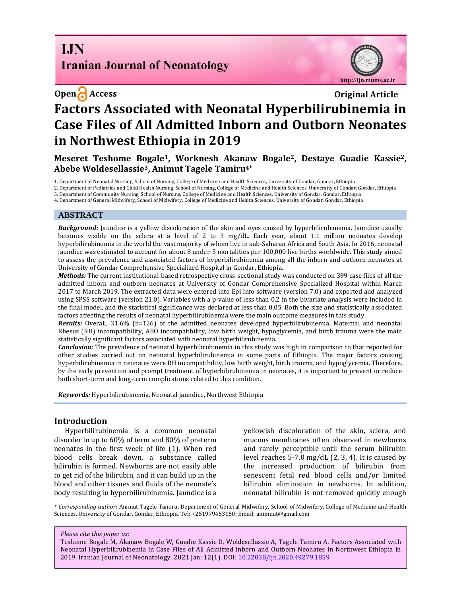# **I.IN Iranian Journal of Neonatology**



# **Open Access Original Article Factors Associated with Neonatal Hyperbilirubinemia in Case Files of All Admitted Inborn and Outborn Neonates in Northwest Ethiopia in 2019**

**Meseret Teshome Bogale1, Worknesh Akanaw Bogale2, Destaye Guadie Kassie2, Abebe Woldesellassie3, Animut Tagele Tamiru4\***

1. Department of Neonatal Nursing, School of Nursing, College of Medicine and Health Sciences, University of Gondar, Gondar, Ethiopia

2. Department of Pediatrics and Child Health Nursing, School of Nursing, College of Medicine and Health Sciences, University of Gondar, Gondar, Ethiopia

3. Department of Community Nursing, School of Nursing, College of Medicine and Health Sciences, University of Gondar, Gondar, Ethiopia

4. Department of General Midwifery, School of Midwifery, College of Medicine and Health Sciences, University of Gondar, Gondar, Ethiopia

#### **ABSTRACT**

*Background:* Jaundice is a yellow discoloration of the skin and eyes caused by hyperbilirubinemia. Jaundice usually becomes visible on the sclera at a level of 2 to 3 mg/dL. Each year, about 1.1 million neonates develop hyperbilirubinemia in the world the vast majority of whom live in sub-Saharan Africa and South Asia. In 2016, neonatal jaundice was estimated to account for about 8 under-5 mortalities per 100,000 live births worldwide. This study aimed to assess the prevalence and associated factors of hyperbilirubinemia among all the inborn and outborn neonates at University of Gondar Comprehensive Specialized Hospital in Gondar, Ethiopia.

*Methods:* The current institutional-based retrospective cross-sectional study was conducted on 399 case files of all the admitted inborn and outborn neonates at University of Gondar Comprehensive Specialized Hospital within March 2017 to March 2019. The extracted data were entered into Epi Info software (version 7.0) and exported and analyzed using SPSS software (version 21.0). Variables with a p-value of less than 0.2 in the bivariate analysis were included in the final model, and the statistical significance was declared at less than 0.05. Both the size and statistically associated factors affecting the results of neonatal hyperbilirubinemia were the main outcome measures in this study.

*Results:* Overall, 31.6% (n=126) of the admitted neonates developed hyperbilirubinemia. Maternal and neonatal Rhesus (RH) incompatibility, ABO incompatibility, low birth weight, hypoglycemia, and birth trauma were the main statistically significant factors associated with neonatal hyperbilirubinemia.

*Conclusion:* The prevalence of neonatal hyperbilirubinemia in this study was high in comparison to that reported for other studies carried out on neonatal hyperbilirubinemia in some parts of Ethiopia. The major factors causing hyperbilirubinemia in neonates were RH incompatibility, low birth weight, birth trauma, and hypoglycemia. Therefore, by the early prevention and prompt treatment of hyperbilirubinemia in neonates, it is important to prevent or reduce both short-term and long-term complications related to this condition.

*Keywords:* Hyperbilirubinemia, Neonatal jaundice, Northwest Ethiopia

## **Introduction**

Hyperbilirubinemia is a common neonatal disorder in up to 60% of term and 80% of preterm neonates in the first week of life (1). When red blood cells break down, a substance called bilirubin is formed. Newborns are not easily able to get rid of the bilirubin, and it can build up in the blood and other tissues and fluids of the neonate's body resulting in hyperbilirubinemia. Jaundice is a yellowish discoloration of the skin, sclera, and mucous membranes often observed in newborns and rarely perceptible until the serum bilirubin level reaches 5-7.0 mg/dL (2, 3, 4). It is caused by the increased production of bilirubin from senescent fetal red blood cells and/or limited bilirubin elimination in newborns. In addition, neonatal bilirubin is not removed quickly enough

*\* Corresponding author*: Animut Tagele Tamiru, Department of General Midwifery, School of Midwifery, College of Medicine and Health Sciences, University of Gondar, Gondar, Ethiopia. Tel: +251979453050; Email: [animuut@gmail.com](mailto:animuut@gmail.com)

*Please cite this paper as:*

Teshome Bogale M, Akanaw Bogale W, Guadie Kassie D, Woldesellassie A, Tagele Tamiru A. Factors Associated with Neonatal Hyperbilirubinemia in Case Files of All Admitted Inborn and Outborn Neonates in Northwest Ethiopia in 2019. Iranian Journal of Neonatology. 2021 Jan: 12(1). DOI[: 10.22038/ijn.2020.49279.1859](https://ijn.mums.ac.ir/)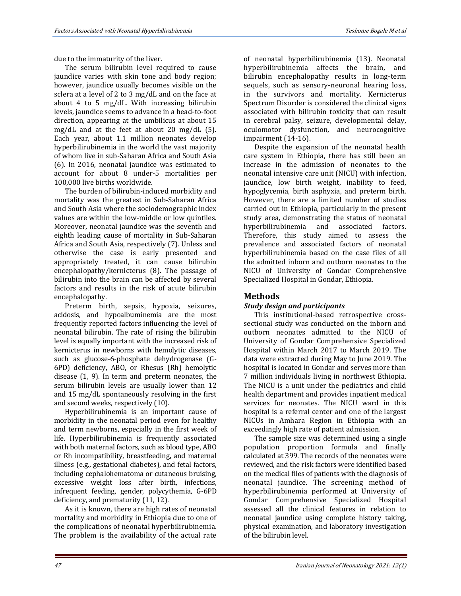due to the immaturity of the liver.

The serum bilirubin level required to cause jaundice varies with skin tone and body region; however, jaundice usually becomes visible on the sclera at a level of 2 to 3 mg/dL and on the face at about 4 to 5 mg/dL. With increasing bilirubin levels, jaundice seems to advance in a head-to-foot direction, appearing at the umbilicus at about 15 mg/dL and at the feet at about 20 mg/dL (5). Each year, about 1.1 million neonates develop hyperbilirubinemia in the world the vast majority of whom live in sub-Saharan Africa and South Asia (6). In 2016, neonatal jaundice was estimated to account for about 8 under-5 mortalities per 100,000 live births worldwide.

The burden of bilirubin-induced morbidity and mortality was the greatest in Sub-Saharan Africa and South Asia where the sociodemographic index values are within the low-middle or low quintiles. Moreover, neonatal jaundice was the seventh and eighth leading cause of mortality in Sub-Saharan Africa and South Asia, respectively (7). Unless and otherwise the case is early presented and appropriately treated, it can cause bilirubin encephalopathy/kernicterus (8). The passage of bilirubin into the brain can be affected by several factors and results in the risk of acute bilirubin encephalopathy.

Preterm birth, sepsis, hypoxia, seizures, acidosis, and hypoalbuminemia are the most frequently reported factors influencing the level of neonatal bilirubin. The rate of rising the bilirubin level is equally important with the increased risk of kernicterus in newborns with hemolytic diseases, such as glucose-6-phosphate dehydrogenase (G-6PD) deficiency, ABO, or Rhesus (Rh) hemolytic disease (1, 9). In term and preterm neonates, the serum bilirubin levels are usually lower than 12 and 15 mg/dL spontaneously resolving in the first and second weeks, respectively (10).

Hyperbilirubinemia is an important cause of morbidity in the neonatal period even for healthy and term newborns, especially in the first week of life. Hyperbilirubinemia is frequently associated with both maternal factors, such as blood type, ABO or Rh incompatibility, breastfeeding, and maternal illness (e.g., gestational diabetes), and fetal factors, including cephalohematoma or cutaneous bruising, excessive weight loss after birth, infections, infrequent feeding, gender, polycythemia, G-6PD deficiency, and prematurity (11, 12).

As it is known, there are high rates of neonatal mortality and morbidity in Ethiopia due to one of the complications of neonatal hyperbilirubinemia. The problem is the availability of the actual rate of neonatal hyperbilirubinemia (13). Neonatal hyperbilirubinemia affects the brain, and bilirubin encephalopathy results in long-term sequels, such as sensory-neuronal hearing loss, in the survivors and mortality. Kernicterus Spectrum Disorder is considered the clinical signs associated with bilirubin toxicity that can result in cerebral palsy, seizure, developmental delay, oculomotor dysfunction, and neurocognitive impairment (14-16).

Despite the expansion of the neonatal health care system in Ethiopia, there has still been an increase in the admission of neonates to the neonatal intensive care unit (NICU) with infection, jaundice, low birth weight, inability to feed, hypoglycemia, birth asphyxia, and preterm birth. However, there are a limited number of studies carried out in Ethiopia, particularly in the present study area, demonstrating the status of neonatal hyperbilirubinemia and associated factors. Therefore, this study aimed to assess the prevalence and associated factors of neonatal hyperbilirubinemia based on the case files of all the admitted inborn and outborn neonates to the NICU of University of Gondar Comprehensive Specialized Hospital in Gondar, Ethiopia.

# **Methods**

## *Study design and participants*

This institutional-based retrospective crosssectional study was conducted on the inborn and outborn neonates admitted to the NICU of University of Gondar Comprehensive Specialized Hospital within March 2017 to March 2019. The data were extracted during May to June 2019. The hospital is located in Gondar and serves more than 7 million individuals living in northwest Ethiopia. The NICU is a unit under the pediatrics and child health department and provides inpatient medical services for neonates. The NICU ward in this hospital is a referral center and one of the largest NICUs in Amhara Region in Ethiopia with an exceedingly high rate of patient admission.

The sample size was determined using a single population proportion formula and finally calculated at 399. The records of the neonates were reviewed, and the risk factors were identified based on the medical files of patients with the diagnosis of neonatal jaundice. The screening method of hyperbilirubinemia performed at University of Gondar Comprehensive Specialized Hospital assessed all the clinical features in relation to neonatal jaundice using complete history taking, physical examination, and laboratory investigation of the bilirubin level.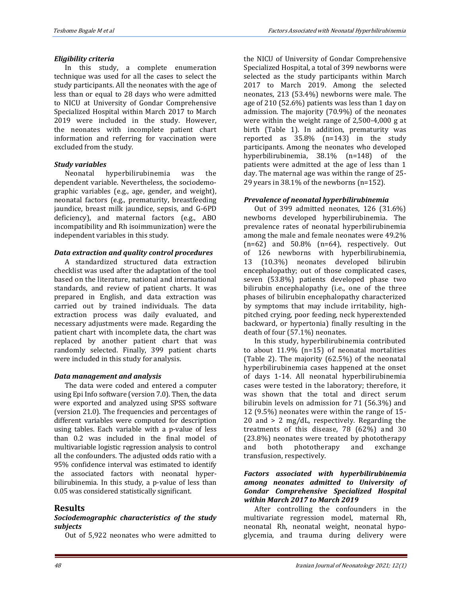#### *Eligibility criteria*

In this study, a complete enumeration technique was used for all the cases to select the study participants. All the neonates with the age of less than or equal to 28 days who were admitted to NICU at University of Gondar Comprehensive Specialized Hospital within March 2017 to March 2019 were included in the study. However, the neonates with incomplete patient chart information and referring for vaccination were excluded from the study.

#### *Study variables*

Neonatal hyperbilirubinemia was the dependent variable. Nevertheless, the sociodemographic variables (e.g., age, gender, and weight), neonatal factors (e.g., prematurity, breastfeeding jaundice, breast milk jaundice, sepsis, and G-6PD deficiency), and maternal factors (e.g., ABO incompatibility and Rh isoimmunization) were the independent variables in this study.

## *Data extraction and quality control procedures*

A standardized structured data extraction checklist was used after the adaptation of the tool based on the literature, national and international standards, and review of patient charts. It was prepared in English, and data extraction was carried out by trained individuals. The data extraction process was daily evaluated, and necessary adjustments were made. Regarding the patient chart with incomplete data, the chart was replaced by another patient chart that was randomly selected. Finally, 399 patient charts were included in this study for analysis.

## *Data management and analysis*

The data were coded and entered a computer using Epi Info software (version 7.0). Then, the data were exported and analyzed using SPSS software (version 21.0). The frequencies and percentages of different variables were computed for description using tables. Each variable with a p-value of less than 0.2 was included in the final model of multivariable logistic regression analysis to control all the confounders. The adjusted odds ratio with a 95% confidence interval was estimated to identify the associated factors with neonatal hyperbilirubinemia. In this study, a p-value of less than 0.05 was considered statistically significant.

# **Results**

#### *Sociodemographic characteristics of the study subjects*

Out of 5,922 neonates who were admitted to

the NICU of University of Gondar Comprehensive Specialized Hospital, a total of 399 newborns were selected as the study participants within March 2017 to March 2019. Among the selected neonates, 213 (53.4%) newborns were male. The age of 210 (52.6%) patients was less than 1 day on admission. The majority (70.9%) of the neonates were within the weight range of 2,500-4,000 g at birth (Table 1). In addition, prematurity was reported as 35.8% (n=143) in the study participants. Among the neonates who developed hyperbilirubinemia, 38.1% (n=148) of the patients were admitted at the age of less than 1 day. The maternal age was within the range of 25- 29 years in 38.1% of the newborns (n=152).

#### *Prevalence of neonatal hyperbilirubinemia*

Out of 399 admitted neonates, 126 (31.6%) newborns developed hyperbilirubinemia. The prevalence rates of neonatal hyperbilirubinemia among the male and female neonates were 49.2%  $(n=62)$  and  $50.8\%$   $(n=64)$ , respectively. Out of 126 newborns with hyperbilirubinemia, 13 (10.3%) neonates developed bilirubin encephalopathy; out of those complicated cases, seven (53.8%) patients developed phase two bilirubin encephalopathy (i.e., one of the three phases of bilirubin encephalopathy characterized by symptoms that may include irritability, highpitched crying, poor feeding, neck hyperextended backward, or hypertonia) finally resulting in the death of four (57.1%) neonates.

In this study, hyperbilirubinemia contributed to about 11.9% (n=15) of neonatal mortalities (Table 2). The majority (62.5%) of the neonatal hyperbilirubinemia cases happened at the onset of days 1-14. All neonatal hyperbilirubinemia cases were tested in the laboratory; therefore, it was shown that the total and direct serum bilirubin levels on admission for 71 (56.3%) and 12 (9.5%) neonates were within the range of 15- 20 and > 2 mg/dL, respectively. Regarding the treatments of this disease, 78 (62%) and 30 (23.8%) neonates were treated by phototherapy and both phototherapy and exchange transfusion, respectively.

#### *Factors associated with hyperbilirubinemia among neonates admitted to University of Gondar Comprehensive Specialized Hospital within March 2017 to March 2019*

After controlling the confounders in the multivariate regression model, maternal Rh, neonatal Rh, neonatal weight, neonatal hypoglycemia, and trauma during delivery were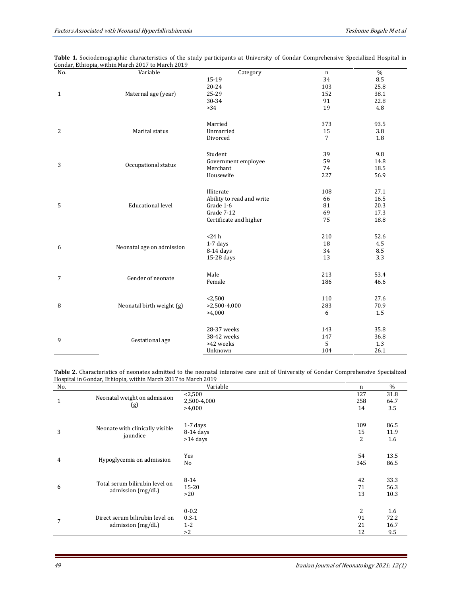| No.          | Variable                  | Category                  | n              | $\%$ |
|--------------|---------------------------|---------------------------|----------------|------|
|              |                           | 15-19                     | 34             | 8.5  |
|              |                           | 20-24                     | 103            | 25.8 |
| $\mathbf{1}$ | Maternal age (year)       | 25-29                     | 152            | 38.1 |
|              |                           | 30-34                     | 91             | 22.8 |
|              |                           | >34                       | 19             | 4.8  |
|              |                           |                           |                |      |
|              |                           | Married                   | 373            | 93.5 |
| 2            | Marital status            | Unmarried                 | 15             | 3.8  |
|              |                           | Divorced                  | $\overline{7}$ | 1.8  |
|              |                           |                           |                |      |
|              |                           | Student                   | 39             | 9.8  |
|              |                           | Government employee       | 59             | 14.8 |
| 3            | Occupational status       | Merchant                  | 74             | 18.5 |
|              |                           | Housewife                 | 227            | 56.9 |
|              |                           |                           |                |      |
|              |                           | Illiterate                | 108            | 27.1 |
|              |                           | Ability to read and write | 66             | 16.5 |
| 5            | <b>Educational level</b>  | Grade 1-6                 | 81             | 20.3 |
|              |                           | Grade 7-12                | 69             | 17.3 |
|              |                           | Certificate and higher    | 75             | 18.8 |
|              |                           |                           |                |      |
|              |                           | $<$ 24 $h$                | 210            | 52.6 |
|              |                           | $1-7$ days                | 18             | 4.5  |
| 6            | Neonatal age on admission | $8-14$ days               | 34             | 8.5  |
|              |                           | 15-28 days                | 13             | 3.3  |
|              |                           |                           |                |      |
|              |                           | Male                      | 213            | 53.4 |
| 7            | Gender of neonate         | Female                    | 186            | 46.6 |
|              |                           |                           |                |      |
|              |                           | < 2,500                   | 110            | 27.6 |
| 8            | Neonatal birth weight (g) | $>2,500-4,000$            | 283            | 70.9 |
|              |                           | >4,000                    | 6              | 1.5  |
|              |                           |                           |                |      |
|              |                           | 28-37 weeks               | 143            | 35.8 |
|              |                           | 38-42 weeks               | 147            | 36.8 |
| 9            | Gestational age           | >42 weeks                 | 5              | 1.3  |
|              |                           | Unknown                   | 104            | 26.1 |
|              |                           |                           |                |      |

| Table 1. Sociodemographic characteristics of the study participants at University of Gondar Comprehensive Specialized Hospital in |  |  |  |  |
|-----------------------------------------------------------------------------------------------------------------------------------|--|--|--|--|
| Gondar, Ethiopia, within March 2017 to March 2019                                                                                 |  |  |  |  |

**Table 2.** Characteristics of neonates admitted to the neonatal intensive care unit of University of Gondar Comprehensive Specialized Hospital in Gondar, Ethiopia, within March 2017 to March 2019

| No.          |                                                        | Variable                                | n                           | $\frac{0}{0}$              |
|--------------|--------------------------------------------------------|-----------------------------------------|-----------------------------|----------------------------|
| $\mathbf{1}$ | Neonatal weight on admission<br>(g)                    | < 2,500<br>2,500-4,000<br>>4,000        | 127<br>258<br>14            | 31.8<br>64.7<br>3.5        |
| 3            | Neonate with clinically visible<br>jaundice            | $1-7$ days<br>$8-14$ days<br>$>14$ days | 109<br>15<br>$\overline{2}$ | 86.5<br>11.9<br>1.6        |
| 4            | Hypoglycemia on admission                              | Yes<br>No                               | 54<br>345                   | 13.5<br>86.5               |
| 6            | Total serum bilirubin level on<br>admission $(mg/dL)$  | $8 - 14$<br>$15 - 20$<br>>20            | 42<br>71<br>13              | 33.3<br>56.3<br>10.3       |
| 7            | Direct serum bilirubin level on<br>admission $(mg/dL)$ | $0 - 0.2$<br>$0.3 - 1$<br>$1 - 2$<br>>2 | 2<br>91<br>21<br>12         | 1.6<br>72.2<br>16.7<br>9.5 |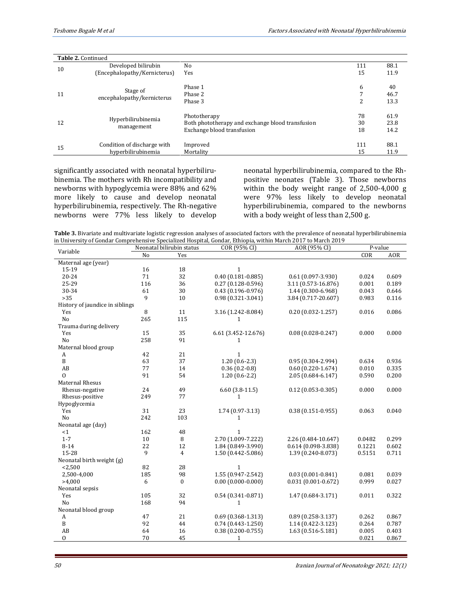| Table 2. Continued |                              |                                                  |     |      |
|--------------------|------------------------------|--------------------------------------------------|-----|------|
|                    | Developed bilirubin          | No                                               | 111 | 88.1 |
| 10                 | (Encephalopathy/Kernicterus) | Yes                                              | 15  | 11.9 |
|                    |                              | Phase 1                                          | 6   | 40   |
| 11                 | Stage of                     | Phase 2                                          |     | 46.7 |
|                    | encephalopathy/kernicterus   | Phase 3                                          | 2   | 13.3 |
|                    |                              | Phototherapy                                     | 78  | 61.9 |
| 12                 | Hyperbilirubinemia           | Both phototherapy and exchange blood transfusion | 30  | 23.8 |
|                    | management                   | Exchange blood transfusion                       | 18  | 14.2 |
| 15                 | Condition of discharge with  | Improved                                         | 111 | 88.1 |
|                    | hyperbilirubinemia           | Mortality                                        | 15  | 11.9 |

significantly associated with neonatal hyperbilirubinemia. The mothers with Rh incompatibility and newborns with hypoglycemia were 88% and 62% more likely to cause and develop neonatal hyperbilirubinemia, respectively. The Rh-negative newborns were 77% less likely to develop neonatal hyperbilirubinemia, compared to the Rhpositive neonates (Table 3). Those newborns within the body weight range of 2,500-4,000 g were 97% less likely to develop neonatal hyperbilirubinemia, compared to the newborns with a body weight of less than 2,500 g.

**Table 3.** Bivariate and multivariate logistic regression analyses of associated factors with the prevalence of neonatal hyperbilirubinemia in University of Gondar Comprehensive Specialized Hospital, Gondar, Ethiopia, within March 2017 to March 2019

| Variable                        | Neonatal bilirubin status |                | COR (95% CI)          | AOR (95% CI)           | P-value |            |
|---------------------------------|---------------------------|----------------|-----------------------|------------------------|---------|------------|
|                                 | N <sub>o</sub>            | Yes            |                       |                        | COR     | <b>AOR</b> |
| Maternal age (year)             |                           |                |                       |                        |         |            |
| 15-19                           | 16                        | 18             | $\mathbf{1}$          |                        |         |            |
| 20-24                           | 71                        | 32             | $0.40(0.181 - 0.885)$ | $0.61(0.097 - 3.930)$  | 0.024   | 0.609      |
| 25-29                           | 116                       | 36             | $0.27(0.128-0.596)$   | 3.11 (0.573-16.876)    | 0.001   | 0.189      |
| 30-34                           | 61                        | 30             | $0.43(0.196 - 0.976)$ | 1.44 (0.300-6.968)     | 0.043   | 0.646      |
| >35                             | $\mathbf{q}$              | 10             | $0.98(0.321 - 3.041)$ | 3.84 (0.717-20.607)    | 0.983   | 0.116      |
| History of jaundice in siblings |                           |                |                       |                        |         |            |
| Yes                             | 8                         | 11             | 3.16 (1.242-8.084)    | $0.20(0.032 - 1.257)$  | 0.016   | 0.086      |
| No                              | 265                       | 115            | 1                     |                        |         |            |
| Trauma during delivery          |                           |                |                       |                        |         |            |
| Yes                             | 15                        | 35             | 6.61 (3.452-12.676)   | $0.08(0.028 - 0.247)$  | 0.000   | 0.000      |
| N <sub>o</sub>                  | 258                       | 91             | $\mathbf{1}$          |                        |         |            |
| Maternal blood group            |                           |                |                       |                        |         |            |
| A                               | 42                        | 21             | $\mathbf{1}$          |                        |         |            |
| B                               | 63                        | 37             | $1.20(0.6-2.3)$       | $0.95(0.304 - 2.994)$  | 0.634   | 0.936      |
| AB                              | 77                        | 14             | $0.36(0.2-0.8)$       | $0.60(0.220 - 1.674)$  | 0.010   | 0.335      |
| $\Omega$                        | 91                        | 54             | $1.20(0.6-2.2)$       | 2.05 (0.684-6.147)     | 0.590   | 0.200      |
| <b>Maternal Rhesus</b>          |                           |                |                       |                        |         |            |
| Rhesus-negative                 | 24                        | 49             | $6.60$ $(3.8-11.5)$   | $0.12$ (0.053-0.305)   | 0.000   | 0.000      |
| Rhesus-positive                 | 249                       | 77             | 1                     |                        |         |            |
| Hypoglycemia                    |                           |                |                       |                        |         |            |
| Yes                             | 31                        | 23             | 1.74 (0.97-3.13)      | $0.38(0.151 - 0.955)$  | 0.063   | 0.040      |
| No                              | 242                       | 103            | 1                     |                        |         |            |
| Neonatal age (day)              |                           |                |                       |                        |         |            |
| <1                              | 162                       | 48             | $\mathbf{1}$          |                        |         |            |
| $1 - 7$                         | 10                        | 8              | 2.70 (1.009-7.222)    | 2.26 (0.484-10.647)    | 0.0482  | 0.299      |
| $8 - 14$                        | 22                        | 12             | 1.84 (0.849-3.990)    | $0.614(0.098-3.838)$   | 0.1221  | 0.602      |
| 15-28                           | 9                         | $\overline{4}$ | 1.50 (0.442-5.086)    | 1.39 (0.240-8.073)     | 0.5151  | 0.711      |
| Neonatal birth weight (g)       |                           |                |                       |                        |         |            |
| < 2,500                         | 82                        | 28             | $\mathbf{1}$          |                        |         |            |
| 2,500-4,000                     | 185                       | 98             | 1.55 (0.947-2.542)    | $0.03(0.001 - 0.841)$  | 0.081   | 0.039      |
| >4,000                          | 6                         | $\mathbf{0}$   | $0.00(0.000 - 0.000)$ | $0.031(0.001 - 0.672)$ | 0.999   | 0.027      |
| Neonatal sepsis                 |                           |                |                       |                        |         |            |
| Yes                             | 105                       | 32             | $0.54$ (0.341-0.871)  | 1.47 (0.684-3.171)     | 0.011   | 0.322      |
| No                              | 168                       | 94             | $\mathbf{1}$          |                        |         |            |
| Neonatal blood group            |                           |                |                       |                        |         |            |
| A                               | 47                        | 21             | $0.69(0.368 - 1.313)$ | $0.89(0.258-3.137)$    | 0.262   | 0.867      |
| B                               | 92                        | 44             | $0.74(0.443 - 1.250)$ | 1.14 (0.422-3.123)     | 0.264   | 0.787      |
| AB                              | 64                        | 16             | $0.38(0.200 - 0.755)$ | 1.63 (0.516-5.181)     | 0.005   | 0.403      |
| $\overline{0}$                  | 70                        | 45             | $\mathbf{1}$          |                        | 0.021   | 0.867      |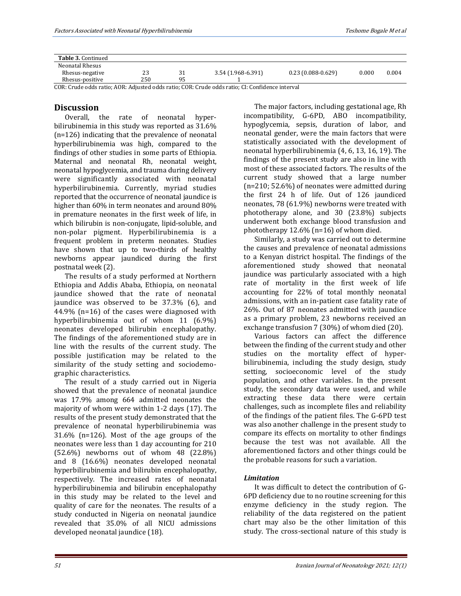| Table 3. Continued |     |    |                                                                     |                     |       |       |
|--------------------|-----|----|---------------------------------------------------------------------|---------------------|-------|-------|
| Neonatal Rhesus    |     |    |                                                                     |                     |       |       |
| Rhesus-negative    | 23  | JI | 3.54 (1.968-6.391)                                                  | $0.23(0.088-0.629)$ | 0.000 | 0.004 |
| Rhesus-positive    | 250 | 95 |                                                                     |                     |       |       |
|                    |     |    | $(0.0000, 1.11)$ $(0.0000, 1.11)$ $(0.0000, 1.11)$ $(0.0000, 1.11)$ |                     |       |       |

COR: Crude odds ratio; AOR: Adjusted odds ratio; COR: Crude odds ratio; CI: Confidence interval

## **Discussion**

Overall, the rate of neonatal hyperbilirubinemia in this study was reported as 31.6% (n=126) indicating that the prevalence of neonatal hyperbilirubinemia was high, compared to the findings of other studies in some parts of Ethiopia. Maternal and neonatal Rh, neonatal weight, neonatal hypoglycemia, and trauma during delivery were significantly associated with neonatal hyperbilirubinemia. Currently, myriad studies reported that the occurrence of neonatal jaundice is higher than 60% in term neonates and around 80% in premature neonates in the first week of life, in which bilirubin is non-conjugate, lipid-soluble, and non-polar pigment. Hyperbilirubinemia is a frequent problem in preterm neonates. Studies have shown that up to two-thirds of healthy newborns appear jaundiced during the first postnatal week (2).

The results of a study performed at Northern Ethiopia and Addis Ababa, Ethiopia, on neonatal jaundice showed that the rate of neonatal jaundice was observed to be 37.3% (6), and 44.9% (n=16) of the cases were diagnosed with hyperbilirubinemia out of whom 11 (6.9%) neonates developed bilirubin encephalopathy. The findings of the aforementioned study are in line with the results of the current study. The possible justification may be related to the similarity of the study setting and sociodemographic characteristics.

The result of a study carried out in Nigeria showed that the prevalence of neonatal jaundice was 17.9% among 664 admitted neonates the majority of whom were within 1-2 days (17). The results of the present study demonstrated that the prevalence of neonatal hyperbilirubinemia was 31.6% (n=126). Most of the age groups of the neonates were less than 1 day accounting for 210 (52.6%) newborns out of whom 48 (22.8%) and 8 (16.6%) neonates developed neonatal hyperbilirubinemia and bilirubin encephalopathy, respectively. The increased rates of neonatal hyperbilirubinemia and bilirubin encephalopathy in this study may be related to the level and quality of care for the neonates. The results of a study conducted in Nigeria on neonatal jaundice revealed that 35.0% of all NICU admissions developed neonatal jaundice (18).

The major factors, including gestational age, Rh incompatibility, G-6PD, ABO incompatibility, hypoglycemia, sepsis, duration of labor, and neonatal gender, were the main factors that were statistically associated with the development of neonatal hyperbilirubinemia (4, 6, 13, 16, 19). The findings of the present study are also in line with most of these associated factors. The results of the current study showed that a large number (n=210; 52.6%) of neonates were admitted during the first 24 h of life. Out of 126 jaundiced neonates, 78 (61.9%) newborns were treated with phototherapy alone, and 30 (23.8%) subjects underwent both exchange blood transfusion and phototherapy 12.6% (n=16) of whom died.

Similarly, a study was carried out to determine the causes and prevalence of neonatal admissions to a Kenyan district hospital. The findings of the aforementioned study showed that neonatal jaundice was particularly associated with a high rate of mortality in the first week of life accounting for 22% of total monthly neonatal admissions, with an in-patient case fatality rate of 26%. Out of 87 neonates admitted with jaundice as a primary problem, 23 newborns received an exchange transfusion 7 (30%) of whom died (20).

Various factors can affect the difference between the finding of the current study and other studies on the mortality effect of hyperbilirubinemia, including the study design, study setting, socioeconomic level of the study population, and other variables. In the present study, the secondary data were used, and while extracting these data there were certain challenges, such as incomplete files and reliability of the findings of the patient files. The G-6PD test was also another challenge in the present study to compare its effects on mortality to other findings because the test was not available. All the aforementioned factors and other things could be the probable reasons for such a variation.

## *Limitation*

It was difficult to detect the contribution of G-6PD deficiency due to no routine screening for this enzyme deficiency in the study region. The reliability of the data registered on the patient chart may also be the other limitation of this study. The cross-sectional nature of this study is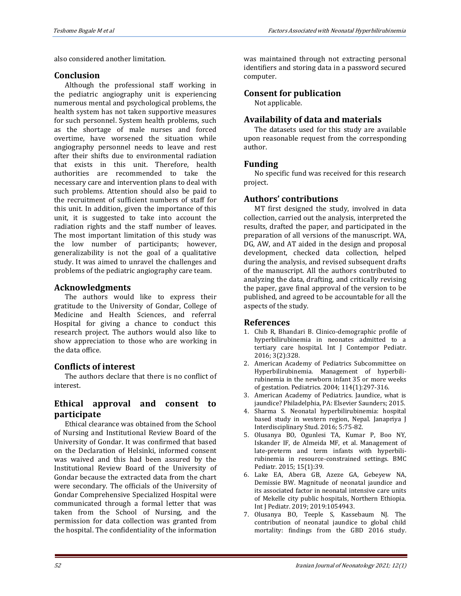also considered another limitation.

## **Conclusion**

Although the professional staff working in the pediatric angiography unit is experiencing numerous mental and psychological problems, the health system has not taken supportive measures for such personnel. System health problems, such as the shortage of male nurses and forced overtime, have worsened the situation while angiography personnel needs to leave and rest after their shifts due to environmental radiation that exists in this unit. Therefore, health authorities are recommended to take the necessary care and intervention plans to deal with such problems. Attention should also be paid to the recruitment of sufficient numbers of staff for this unit. In addition, given the importance of this unit, it is suggested to take into account the radiation rights and the staff number of leaves. The most important limitation of this study was the low number of participants; however, generalizability is not the goal of a qualitative study. It was aimed to unravel the challenges and problems of the pediatric angiography care team.

# **Acknowledgments**

The authors would like to express their gratitude to the University of Gondar, College of Medicine and Health Sciences, and referral Hospital for giving a chance to conduct this research project. The authors would also like to show appreciation to those who are working in the data office.

# **Conflicts of interest**

The authors declare that there is no conflict of interest.

# **Ethical approval and consent to participate**

Ethical clearance was obtained from the School of Nursing and Institutional Review Board of the University of Gondar. It was confirmed that based on the Declaration of Helsinki, informed consent was waived and this had been assured by the Institutional Review Board of the University of Gondar because the extracted data from the chart were secondary. The officials of the University of Gondar Comprehensive Specialized Hospital were communicated through a formal letter that was taken from the School of Nursing, and the permission for data collection was granted from the hospital. The confidentiality of the information

was maintained through not extracting personal identifiers and storing data in a password secured computer.

# **Consent for publication**

Not applicable.

# **Availability of data and materials**

The datasets used for this study are available upon reasonable request from the corresponding author.

# **Funding**

No specific fund was received for this research project.

# **Authors' contributions**

MT first designed the study, involved in data collection, carried out the analysis, interpreted the results, drafted the paper, and participated in the preparation of all versions of the manuscript. WA, DG, AW, and AT aided in the design and proposal development, checked data collection, helped during the analysis, and revised subsequent drafts of the manuscript. All the authors contributed to analyzing the data, drafting, and critically revising the paper, gave final approval of the version to be published, and agreed to be accountable for all the aspects of the study.

## **References**

- 1. Chib R, Bhandari B. Clinico-demographic profile of hyperbilirubinemia in neonates admitted to a tertiary care hospital. Int J Contempor Pediatr. 2016; 3(2):328.
- 2. American Academy of Pediatrics Subcommittee on Hyperbilirubinemia. Management of hyperbilirubinemia in the newborn infant 35 or more weeks of gestation. Pediatrics. 2004; 114(1):297-316.
- 3. American Academy of Pediatrics. Jaundice, what is jaundice? Philadelphia, PA: Elsevier Saunders; 2015.
- 4. Sharma S. Neonatal hyperbilirubinemia: hospital based study in western region, Nepal. Janapriya J Interdisciplinary Stud. 2016; 5:75-82.
- 5. Olusanya BO, Ogunlesi TA, Kumar P, Boo NY, Iskander IF, de Almeida MF, et al. Management of late-preterm and term infants with hyperbilirubinemia in resource-constrained settings. BMC Pediatr. 2015; 15(1):39.
- 6. Lake EA, Abera GB, Azeze GA, Gebeyew NA, Demissie BW. Magnitude of neonatal jaundice and its associated factor in neonatal intensive care units of Mekelle city public hospitals, Northern Ethiopia. Int J Pediatr. 2019; 2019:1054943.
- 7. Olusanya BO, Teeple S, Kassebaum NJ. The contribution of neonatal jaundice to global child mortality: findings from the GBD 2016 study.